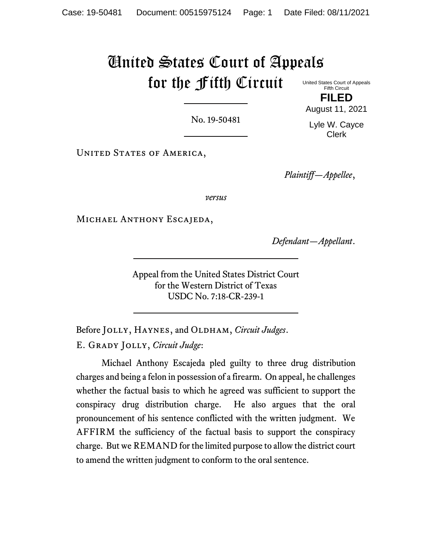# United States Court of Appeals for the Fifth Circuit

United States Court of Appeals Fifth Circuit **FILED**

No. 19-50481

August 11, 2021 Lyle W. Cayce Clerk

UNITED STATES OF AMERICA,

*Plaintiff—Appellee*,

*versus*

Michael Anthony Escajeda,

*Defendant—Appellant*.

Appeal from the United States District Court for the Western District of Texas USDC No. 7:18-CR-239-1

Before JOLLY, HAYNES, and OLDHAM, *Circuit Judges*. E. Grady Jolly, *Circuit Judge*:

Michael Anthony Escajeda pled guilty to three drug distribution charges and being a felon in possession of a firearm. On appeal, he challenges whether the factual basis to which he agreed was sufficient to support the conspiracy drug distribution charge. He also argues that the oral pronouncement of his sentence conflicted with the written judgment. We AFFIRM the sufficiency of the factual basis to support the conspiracy charge. But we REMAND for the limited purpose to allow the district court to amend the written judgment to conform to the oral sentence.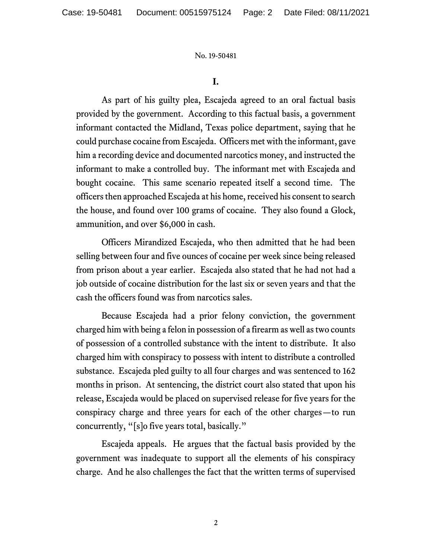## **I.**

As part of his guilty plea, Escajeda agreed to an oral factual basis provided by the government. According to this factual basis, a government informant contacted the Midland, Texas police department, saying that he could purchase cocaine from Escajeda. Officers met with the informant, gave him a recording device and documented narcotics money, and instructed the informant to make a controlled buy. The informant met with Escajeda and bought cocaine. This same scenario repeated itself a second time. The officers then approached Escajeda at his home, received his consent to search the house, and found over 100 grams of cocaine. They also found a Glock, ammunition, and over \$6,000 in cash.

Officers Mirandized Escajeda, who then admitted that he had been selling between four and five ounces of cocaine per week since being released from prison about a year earlier. Escajeda also stated that he had not had a job outside of cocaine distribution for the last six or seven years and that the cash the officers found was from narcotics sales.

Because Escajeda had a prior felony conviction, the government charged him with being a felon in possession of a firearm as well as two counts of possession of a controlled substance with the intent to distribute. It also charged him with conspiracy to possess with intent to distribute a controlled substance. Escajeda pled guilty to all four charges and was sentenced to 162 months in prison. At sentencing, the district court also stated that upon his release, Escajeda would be placed on supervised release for five years for the conspiracy charge and three years for each of the other charges—to run concurrently, "[s]o five years total, basically."

Escajeda appeals. He argues that the factual basis provided by the government was inadequate to support all the elements of his conspiracy charge. And he also challenges the fact that the written terms of supervised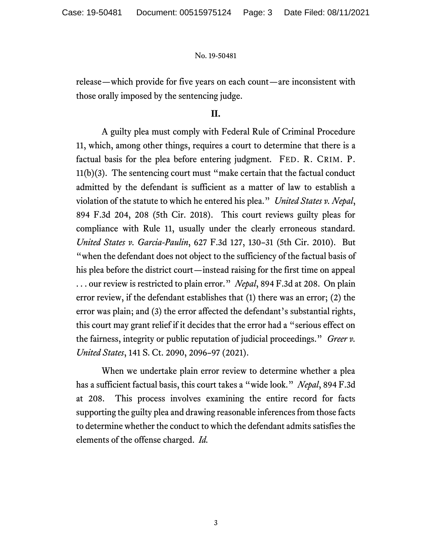release—which provide for five years on each count—are inconsistent with those orally imposed by the sentencing judge.

# **II.**

A guilty plea must comply with Federal Rule of Criminal Procedure 11, which, among other things, requires a court to determine that there is a factual basis for the plea before entering judgment. FED. R. CRIM. P. 11(b)(3). The sentencing court must "make certain that the factual conduct admitted by the defendant is sufficient as a matter of law to establish a violation of the statute to which he entered his plea." *United States v. Nepal*, 894 F.3d 204, 208 (5th Cir. 2018). This court reviews guilty pleas for compliance with Rule 11, usually under the clearly erroneous standard. *United States v. Garcia-Paulin*, 627 F.3d 127, 130–31 (5th Cir. 2010). But "when the defendant does not object to the sufficiency of the factual basis of his plea before the district court—instead raising for the first time on appeal . . . our review is restricted to plain error." *Nepal*, 894 F.3d at 208. On plain error review, if the defendant establishes that (1) there was an error; (2) the error was plain; and (3) the error affected the defendant's substantial rights, this court may grant relief if it decides that the error had a "serious effect on the fairness, integrity or public reputation of judicial proceedings." *Greer v. United States*, 141 S. Ct. 2090, 2096–97 (2021).

When we undertake plain error review to determine whether a plea has a sufficient factual basis, this court takes a "wide look." *Nepal*, 894 F.3d at 208. This process involves examining the entire record for facts supporting the guilty plea and drawing reasonable inferences from those facts to determine whether the conduct to which the defendant admits satisfies the elements of the offense charged. *Id.*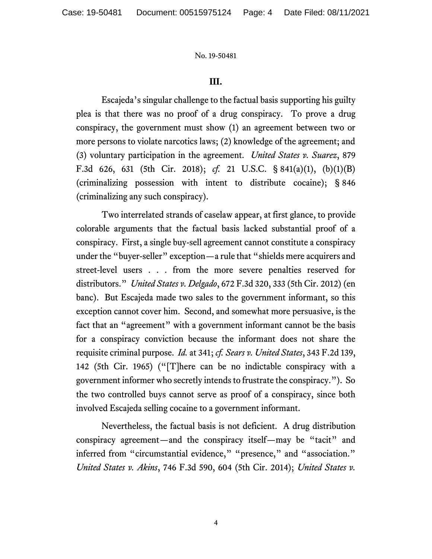## **III.**

Escajeda's singular challenge to the factual basis supporting his guilty plea is that there was no proof of a drug conspiracy. To prove a drug conspiracy, the government must show (1) an agreement between two or more persons to violate narcotics laws; (2) knowledge of the agreement; and (3) voluntary participation in the agreement. *United States v. Suarez*, 879 F.3d 626, 631 (5th Cir. 2018); *cf.* 21 U.S.C. § 841(a)(1), (b)(1)(B) (criminalizing possession with intent to distribute cocaine); § 846 (criminalizing any such conspiracy).

Two interrelated strands of caselaw appear, at first glance, to provide colorable arguments that the factual basis lacked substantial proof of a conspiracy. First, a single buy-sell agreement cannot constitute a conspiracy under the "buyer-seller" exception—a rule that "shields mere acquirers and street-level users . . . from the more severe penalties reserved for distributors." *United States v. Delgado*, 672 F.3d 320, 333 (5th Cir. 2012) (en banc). But Escajeda made two sales to the government informant, so this exception cannot cover him. Second, and somewhat more persuasive, is the fact that an "agreement" with a government informant cannot be the basis for a conspiracy conviction because the informant does not share the requisite criminal purpose. *Id.* at 341; *cf. Sears v. United States*, 343 F.2d 139, 142 (5th Cir. 1965) ("[T]here can be no indictable conspiracy with a government informer who secretly intends to frustrate the conspiracy."). So the two controlled buys cannot serve as proof of a conspiracy, since both involved Escajeda selling cocaine to a government informant.

Nevertheless, the factual basis is not deficient. A drug distribution conspiracy agreement—and the conspiracy itself—may be "tacit" and inferred from "circumstantial evidence," "presence," and "association." *United States v. Akins*, 746 F.3d 590, 604 (5th Cir. 2014); *United States v.* 

4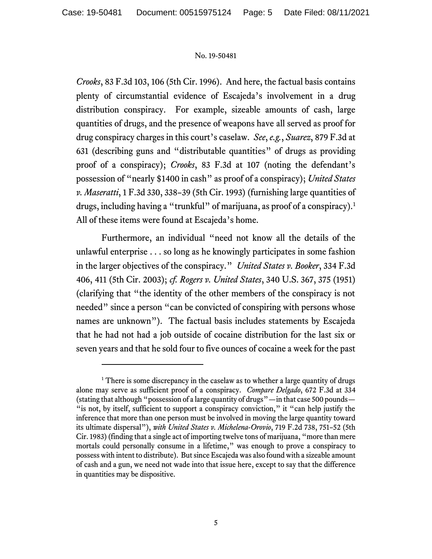*Crooks*, 83 F.3d 103, 106 (5th Cir. 1996). And here, the factual basis contains plenty of circumstantial evidence of Escajeda's involvement in a drug distribution conspiracy. For example, sizeable amounts of cash, large quantities of drugs, and the presence of weapons have all served as proof for drug conspiracy charges in this court's caselaw. *See*, *e.g.*, *Suarez*, 879 F.3d at 631 (describing guns and "distributable quantities" of drugs as providing proof of a conspiracy); *Crooks*, 83 F.3d at 107 (noting the defendant's possession of "nearly \$1400 in cash" as proof of a conspiracy); *United States v. Maseratti*, 1 F.3d 330, 338–39 (5th Cir. 1993) (furnishing large quantities of drugs, including having a "trunkful" of marijuana, as proof of a conspiracy).<sup>1</sup> All of these items were found at Escajeda's home.

Furthermore, an individual "need not know all the details of the unlawful enterprise . . . so long as he knowingly participates in some fashion in the larger objectives of the conspiracy." *United States v. Booker*, 334 F.3d 406, 411 (5th Cir. 2003); *cf. Rogers v. United States*, 340 U.S. 367, 375 (1951) (clarifying that "the identity of the other members of the conspiracy is not needed" since a person "can be convicted of conspiring with persons whose names are unknown"). The factual basis includes statements by Escajeda that he had not had a job outside of cocaine distribution for the last six or seven years and that he sold four to five ounces of cocaine a week for the past

 $1$  There is some discrepancy in the caselaw as to whether a large quantity of drugs alone may serve as sufficient proof of a conspiracy. *Compare Delgado*, 672 F.3d at 334 (stating that although "possession of a large quantity of drugs"—in that case 500 pounds— "is not, by itself, sufficient to support a conspiracy conviction," it "can help justify the inference that more than one person must be involved in moving the large quantity toward its ultimate dispersal"), *with United States v. Michelena-Orovio*, 719 F.2d 738, 751–52 (5th Cir. 1983) (finding that a single act of importing twelve tons of marijuana, "more than mere mortals could personally consume in a lifetime," was enough to prove a conspiracy to possess with intent to distribute). But since Escajeda was also found with a sizeable amount of cash and a gun, we need not wade into that issue here, except to say that the difference in quantities may be dispositive.